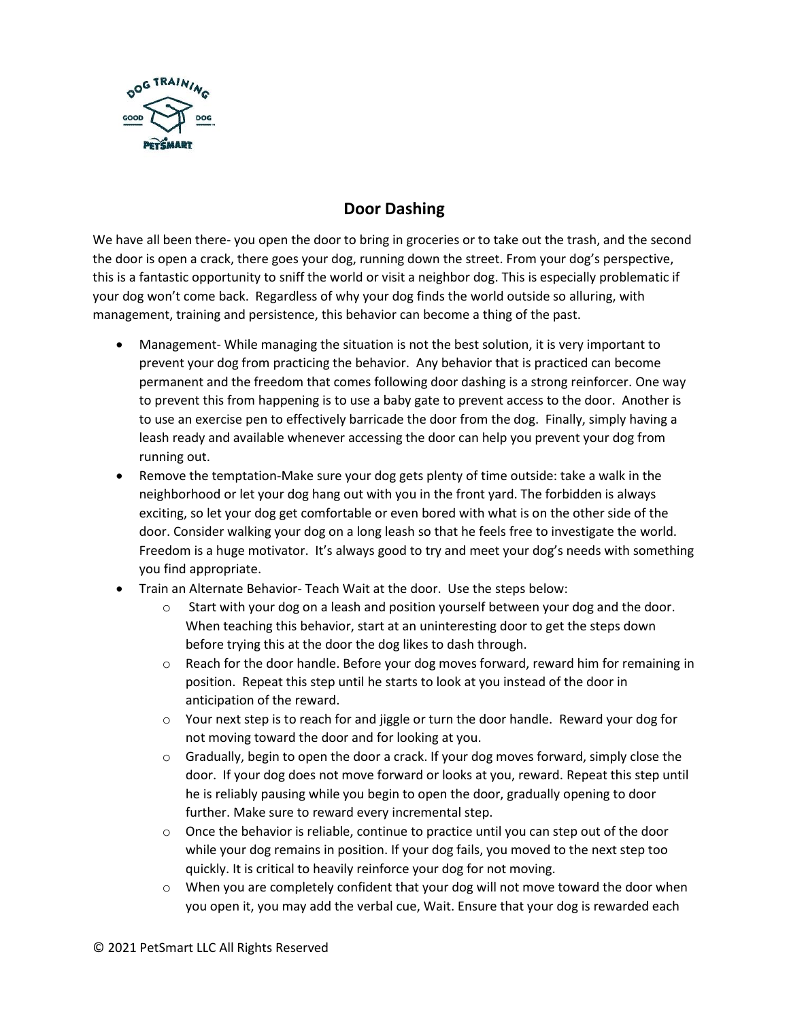

## **Door Dashing**

We have all been there- you open the door to bring in groceries or to take out the trash, and the second the door is open a crack, there goes your dog, running down the street. From your dog's perspective, this is a fantastic opportunity to sniff the world or visit a neighbor dog. This is especially problematic if your dog won't come back. Regardless of why your dog finds the world outside so alluring, with management, training and persistence, this behavior can become a thing of the past.

- Management- While managing the situation is not the best solution, it is very important to prevent your dog from practicing the behavior. Any behavior that is practiced can become permanent and the freedom that comes following door dashing is a strong reinforcer. One way to prevent this from happening is to use a baby gate to prevent access to the door. Another is to use an exercise pen to effectively barricade the door from the dog. Finally, simply having a leash ready and available whenever accessing the door can help you prevent your dog from running out.
- Remove the temptation-Make sure your dog gets plenty of time outside: take a walk in the neighborhood or let your dog hang out with you in the front yard. The forbidden is always exciting, so let your dog get comfortable or even bored with what is on the other side of the door. Consider walking your dog on a long leash so that he feels free to investigate the world. Freedom is a huge motivator. It's always good to try and meet your dog's needs with something you find appropriate.
- Train an Alternate Behavior- Teach Wait at the door. Use the steps below:
	- $\circ$  Start with your dog on a leash and position yourself between your dog and the door. When teaching this behavior, start at an uninteresting door to get the steps down before trying this at the door the dog likes to dash through.
	- $\circ$  Reach for the door handle. Before your dog moves forward, reward him for remaining in position. Repeat this step until he starts to look at you instead of the door in anticipation of the reward.
	- $\circ$  Your next step is to reach for and jiggle or turn the door handle. Reward your dog for not moving toward the door and for looking at you.
	- $\circ$  Gradually, begin to open the door a crack. If your dog moves forward, simply close the door. If your dog does not move forward or looks at you, reward. Repeat this step until he is reliably pausing while you begin to open the door, gradually opening to door further. Make sure to reward every incremental step.
	- $\circ$  Once the behavior is reliable, continue to practice until you can step out of the door while your dog remains in position. If your dog fails, you moved to the next step too quickly. It is critical to heavily reinforce your dog for not moving.
	- o When you are completely confident that your dog will not move toward the door when you open it, you may add the verbal cue, Wait. Ensure that your dog is rewarded each